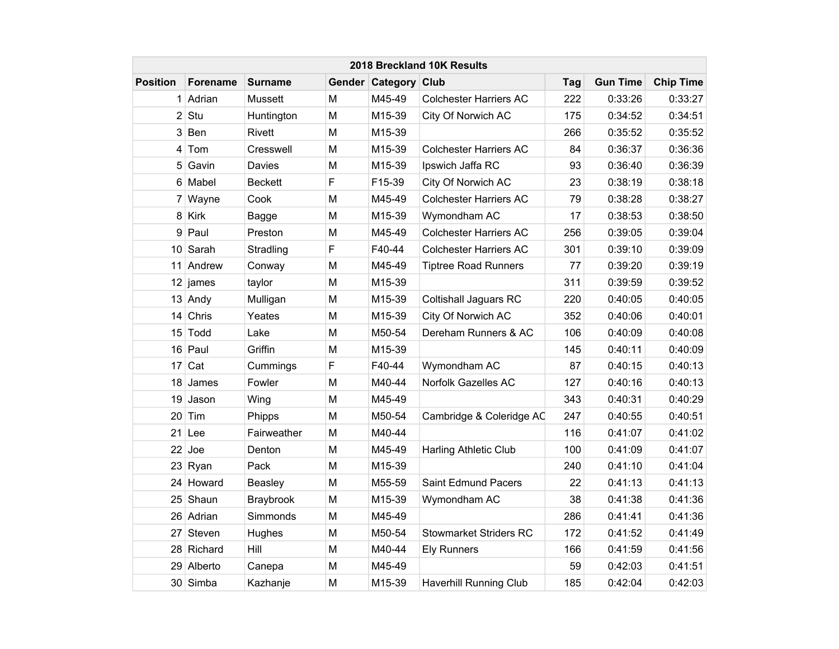|                 | 2018 Breckland 10K Results |                |   |                      |                               |     |                 |                  |  |  |  |  |
|-----------------|----------------------------|----------------|---|----------------------|-------------------------------|-----|-----------------|------------------|--|--|--|--|
| <b>Position</b> | <b>Forename</b>            | <b>Surname</b> |   | Gender Category Club |                               | Tag | <b>Gun Time</b> | <b>Chip Time</b> |  |  |  |  |
| 1               | Adrian                     | <b>Mussett</b> | M | M45-49               | <b>Colchester Harriers AC</b> | 222 | 0:33:26         | 0:33:27          |  |  |  |  |
|                 | $2$ Stu                    | Huntington     | M | M15-39               | City Of Norwich AC            | 175 | 0:34:52         | 0:34:51          |  |  |  |  |
| 3               | Ben                        | Rivett         | M | M15-39               |                               | 266 | 0:35:52         | 0:35:52          |  |  |  |  |
| 4               | Tom                        | Cresswell      | M | M15-39               | <b>Colchester Harriers AC</b> | 84  | 0:36:37         | 0:36:36          |  |  |  |  |
|                 | 5 Gavin                    | Davies         | M | M15-39               | Ipswich Jaffa RC              | 93  | 0:36:40         | 0:36:39          |  |  |  |  |
|                 | 6 Mabel                    | <b>Beckett</b> | F | F15-39               | City Of Norwich AC            | 23  | 0:38:19         | 0:38:18          |  |  |  |  |
|                 | 7 Wayne                    | Cook           | M | M45-49               | <b>Colchester Harriers AC</b> | 79  | 0:38:28         | 0:38:27          |  |  |  |  |
|                 | 8 Kirk                     | Bagge          | M | M15-39               | Wymondham AC                  | 17  | 0:38:53         | 0:38:50          |  |  |  |  |
| 9               | Paul                       | Preston        | M | M45-49               | <b>Colchester Harriers AC</b> | 256 | 0:39:05         | 0:39:04          |  |  |  |  |
|                 | 10 Sarah                   | Stradling      | F | F40-44               | <b>Colchester Harriers AC</b> | 301 | 0:39:10         | 0:39:09          |  |  |  |  |
|                 | 11 Andrew                  | Conway         | M | M45-49               | <b>Tiptree Road Runners</b>   | 77  | 0:39:20         | 0:39:19          |  |  |  |  |
|                 | $12$ james                 | taylor         | M | M15-39               |                               | 311 | 0:39:59         | 0:39:52          |  |  |  |  |
|                 | 13 Andy                    | Mulligan       | M | M15-39               | <b>Coltishall Jaguars RC</b>  | 220 | 0:40:05         | 0:40:05          |  |  |  |  |
|                 | $14$ Chris                 | Yeates         | M | M15-39               | City Of Norwich AC            | 352 | 0:40:06         | 0:40:01          |  |  |  |  |
|                 | 15 Todd                    | Lake           | M | M50-54               | Dereham Runners & AC          | 106 | 0:40:09         | 0:40:08          |  |  |  |  |
|                 | 16 Paul                    | Griffin        | M | M15-39               |                               | 145 | 0:40:11         | 0:40:09          |  |  |  |  |
|                 | $17$ Cat                   | Cummings       | F | F40-44               | Wymondham AC                  | 87  | 0:40:15         | 0:40:13          |  |  |  |  |
| 18 <sup>1</sup> | James                      | Fowler         | M | M40-44               | Norfolk Gazelles AC           | 127 | 0:40:16         | 0:40:13          |  |  |  |  |
|                 | 19 Jason                   | Wing           | M | M45-49               |                               | 343 | 0:40:31         | 0:40:29          |  |  |  |  |
|                 | $20$ Tim                   | Phipps         | M | M50-54               | Cambridge & Coleridge AC      | 247 | 0:40:55         | 0:40:51          |  |  |  |  |
|                 | $21$ Lee                   | Fairweather    | M | M40-44               |                               | 116 | 0:41:07         | 0:41:02          |  |  |  |  |
|                 | $22$ Joe                   | Denton         | M | M45-49               | Harling Athletic Club         | 100 | 0:41:09         | 0:41:07          |  |  |  |  |
|                 | 23 Ryan                    | Pack           | M | M15-39               |                               | 240 | 0:41:10         | 0:41:04          |  |  |  |  |
|                 | 24 Howard                  | <b>Beasley</b> | M | M55-59               | Saint Edmund Pacers           | 22  | 0:41:13         | 0:41:13          |  |  |  |  |
|                 | 25 Shaun                   | Braybrook      | M | M15-39               | Wymondham AC                  | 38  | 0:41:38         | 0:41:36          |  |  |  |  |
|                 | 26 Adrian                  | Simmonds       | M | M45-49               |                               | 286 | 0:41:41         | 0:41:36          |  |  |  |  |
|                 | 27 Steven                  | Hughes         | M | M50-54               | <b>Stowmarket Striders RC</b> | 172 | 0:41:52         | 0:41:49          |  |  |  |  |
|                 | 28 Richard                 | Hill           | M | M40-44               | <b>Ely Runners</b>            | 166 | 0:41:59         | 0:41:56          |  |  |  |  |
|                 | 29 Alberto                 | Canepa         | M | M45-49               |                               | 59  | 0:42:03         | 0:41:51          |  |  |  |  |
|                 | 30 Simba                   | Kazhanje       | M | M15-39               | <b>Haverhill Running Club</b> | 185 | 0:42:04         | 0:42:03          |  |  |  |  |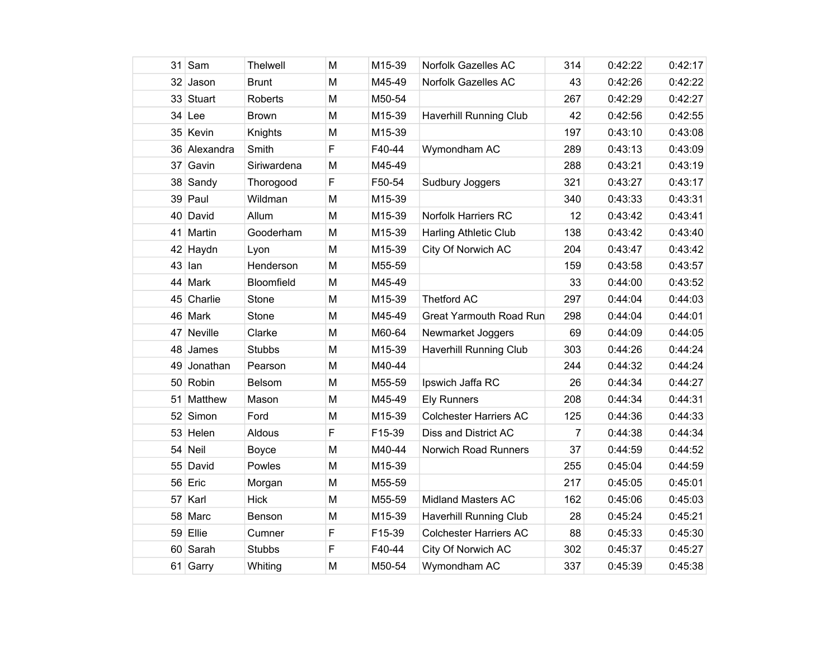|    | $31$ Sam     | Thelwell      | M | M15-39 | Norfolk Gazelles AC            | 314 | 0:42:22 | 0:42:17 |
|----|--------------|---------------|---|--------|--------------------------------|-----|---------|---------|
|    | 32 Jason     | <b>Brunt</b>  | M | M45-49 | Norfolk Gazelles AC            | 43  | 0:42:26 | 0:42:22 |
|    | 33 Stuart    | Roberts       | M | M50-54 |                                | 267 | 0:42:29 | 0:42:27 |
| 34 | Lee          | <b>Brown</b>  | M | M15-39 | <b>Haverhill Running Club</b>  | 42  | 0:42:56 | 0:42:55 |
|    | 35 Kevin     | Knights       | M | M15-39 |                                | 197 | 0:43:10 | 0:43:08 |
|    | 36 Alexandra | Smith         | F | F40-44 | Wymondham AC                   | 289 | 0:43:13 | 0:43:09 |
| 37 | Gavin        | Siriwardena   | M | M45-49 |                                | 288 | 0:43:21 | 0:43:19 |
|    | 38 Sandy     | Thorogood     | F | F50-54 | Sudbury Joggers                | 321 | 0:43:27 | 0:43:17 |
|    | 39 Paul      | Wildman       | M | M15-39 |                                | 340 | 0:43:33 | 0:43:31 |
|    | 40 David     | Allum         | M | M15-39 | <b>Norfolk Harriers RC</b>     | 12  | 0:43:42 | 0:43:41 |
| 41 | Martin       | Gooderham     | M | M15-39 | <b>Harling Athletic Club</b>   | 138 | 0:43:42 | 0:43:40 |
|    | 42 Haydn     | Lyon          | M | M15-39 | City Of Norwich AC             | 204 | 0:43:47 | 0:43:42 |
| 43 | lan          | Henderson     | M | M55-59 |                                | 159 | 0:43:58 | 0:43:57 |
| 44 | Mark         | Bloomfield    | M | M45-49 |                                | 33  | 0:44:00 | 0:43:52 |
|    | 45 Charlie   | Stone         | M | M15-39 | <b>Thetford AC</b>             | 297 | 0:44:04 | 0:44:03 |
|    | 46 Mark      | Stone         | M | M45-49 | <b>Great Yarmouth Road Run</b> | 298 | 0:44:04 | 0:44:01 |
| 47 | Neville      | Clarke        | M | M60-64 | Newmarket Joggers              | 69  | 0:44:09 | 0:44:05 |
| 48 | James        | <b>Stubbs</b> | M | M15-39 | <b>Haverhill Running Club</b>  | 303 | 0:44:26 | 0:44:24 |
| 49 | Jonathan     | Pearson       | M | M40-44 |                                | 244 | 0:44:32 | 0:44:24 |
|    | 50 Robin     | Belsom        | M | M55-59 | Ipswich Jaffa RC               | 26  | 0:44:34 | 0:44:27 |
| 51 | Matthew      | Mason         | M | M45-49 | <b>Ely Runners</b>             | 208 | 0:44:34 | 0:44:31 |
|    | 52 Simon     | Ford          | M | M15-39 | <b>Colchester Harriers AC</b>  | 125 | 0:44:36 | 0:44:33 |
|    | 53 Helen     | Aldous        | F | F15-39 | Diss and District AC           | 7   | 0:44:38 | 0:44:34 |
| 54 | Neil         | <b>Boyce</b>  | M | M40-44 | Norwich Road Runners           | 37  | 0:44:59 | 0:44:52 |
|    | 55 David     | Powles        | M | M15-39 |                                | 255 | 0:45:04 | 0:44:59 |
| 56 | Eric         | Morgan        | M | M55-59 |                                | 217 | 0:45:05 | 0:45:01 |
| 57 | Karl         | <b>Hick</b>   | M | M55-59 | <b>Midland Masters AC</b>      | 162 | 0:45:06 | 0:45:03 |
|    | 58 Marc      | Benson        | M | M15-39 | Haverhill Running Club         | 28  | 0:45:24 | 0:45:21 |
|    | 59 Ellie     | Cumner        | F | F15-39 | <b>Colchester Harriers AC</b>  | 88  | 0:45:33 | 0:45:30 |
|    | 60 Sarah     | <b>Stubbs</b> | F | F40-44 | City Of Norwich AC             | 302 | 0:45:37 | 0:45:27 |
|    | 61 Garry     | Whiting       | M | M50-54 | Wymondham AC                   | 337 | 0:45:39 | 0:45:38 |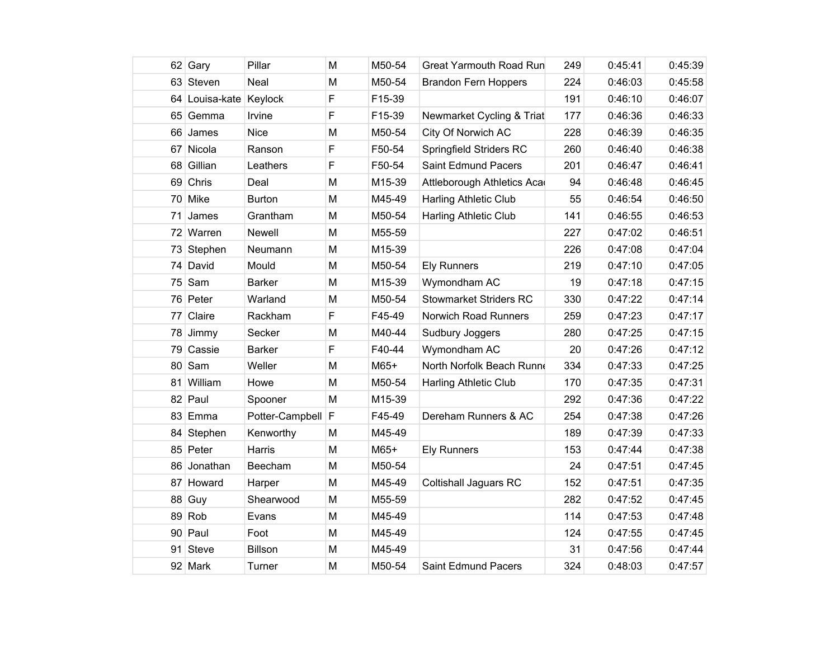|                 | 62 Gary                | Pillar          | M | M50-54 | <b>Great Yarmouth Road Run</b> | 249 | 0:45:41 | 0:45:39 |
|-----------------|------------------------|-----------------|---|--------|--------------------------------|-----|---------|---------|
|                 | 63 Steven              | Neal            | M | M50-54 | <b>Brandon Fern Hoppers</b>    | 224 | 0:46:03 | 0:45:58 |
|                 | 64 Louisa-kate Keylock |                 | F | F15-39 |                                | 191 | 0:46:10 | 0:46:07 |
|                 | 65 Gemma               | Irvine          | F | F15-39 | Newmarket Cycling & Triat      | 177 | 0:46:36 | 0:46:33 |
|                 | 66 James               | <b>Nice</b>     | M | M50-54 | City Of Norwich AC             | 228 | 0:46:39 | 0:46:35 |
|                 | 67 Nicola              | Ranson          | F | F50-54 | Springfield Striders RC        | 260 | 0:46:40 | 0:46:38 |
| 68              | Gillian                | Leathers        | F | F50-54 | Saint Edmund Pacers            | 201 | 0:46:47 | 0:46:41 |
|                 | 69 Chris               | Deal            | M | M15-39 | Attleborough Athletics Aca     | 94  | 0:46:48 | 0:46:45 |
|                 | 70 Mike                | <b>Burton</b>   | M | M45-49 | <b>Harling Athletic Club</b>   | 55  | 0:46:54 | 0:46:50 |
| 71              | James                  | Grantham        | M | M50-54 | <b>Harling Athletic Club</b>   | 141 | 0:46:55 | 0:46:53 |
|                 | 72 Warren              | Newell          | M | M55-59 |                                | 227 | 0:47:02 | 0:46:51 |
|                 | 73 Stephen             | Neumann         | M | M15-39 |                                | 226 | 0:47:08 | 0:47:04 |
|                 | 74 David               | Mould           | M | M50-54 | <b>Ely Runners</b>             | 219 | 0:47:10 | 0:47:05 |
| 75              | Sam                    | <b>Barker</b>   | M | M15-39 | Wymondham AC                   | 19  | 0:47:18 | 0:47:15 |
|                 | 76 Peter               | Warland         | M | M50-54 | <b>Stowmarket Striders RC</b>  | 330 | 0:47:22 | 0:47:14 |
| 77              | Claire                 | Rackham         | F | F45-49 | Norwich Road Runners           | 259 | 0:47:23 | 0:47:17 |
|                 | 78 Jimmy               | Secker          | M | M40-44 | Sudbury Joggers                | 280 | 0:47:25 | 0:47:15 |
|                 | 79 Cassie              | <b>Barker</b>   | F | F40-44 | Wymondham AC                   | 20  | 0:47:26 | 0:47:12 |
| 80 <sup>°</sup> | Sam                    | Weller          | M | M65+   | North Norfolk Beach Runn       | 334 | 0:47:33 | 0:47:25 |
| 81              | William                | Howe            | M | M50-54 | <b>Harling Athletic Club</b>   | 170 | 0:47:35 | 0:47:31 |
|                 | 82 Paul                | Spooner         | M | M15-39 |                                | 292 | 0:47:36 | 0:47:22 |
|                 | 83 Emma                | Potter-Campbell | F | F45-49 | Dereham Runners & AC           | 254 | 0:47:38 | 0:47:26 |
| 84              | Stephen                | Kenworthy       | M | M45-49 |                                | 189 | 0:47:39 | 0:47:33 |
|                 | 85 Peter               | Harris          | M | M65+   | <b>Ely Runners</b>             | 153 | 0:47:44 | 0:47:38 |
|                 | 86 Jonathan            | Beecham         | M | M50-54 |                                | 24  | 0:47:51 | 0:47:45 |
| 87              | Howard                 | Harper          | M | M45-49 | <b>Coltishall Jaguars RC</b>   | 152 | 0:47:51 | 0:47:35 |
| 88              | Guy                    | Shearwood       | M | M55-59 |                                | 282 | 0:47:52 | 0:47:45 |
|                 | 89 Rob                 | Evans           | M | M45-49 |                                | 114 | 0:47:53 | 0:47:48 |
|                 | 90 Paul                | Foot            | M | M45-49 |                                | 124 | 0:47:55 | 0:47:45 |
| 91              | <b>Steve</b>           | Billson         | M | M45-49 |                                | 31  | 0:47:56 | 0:47:44 |
|                 | 92 Mark                | Turner          | M | M50-54 | Saint Edmund Pacers            | 324 | 0:48:03 | 0:47:57 |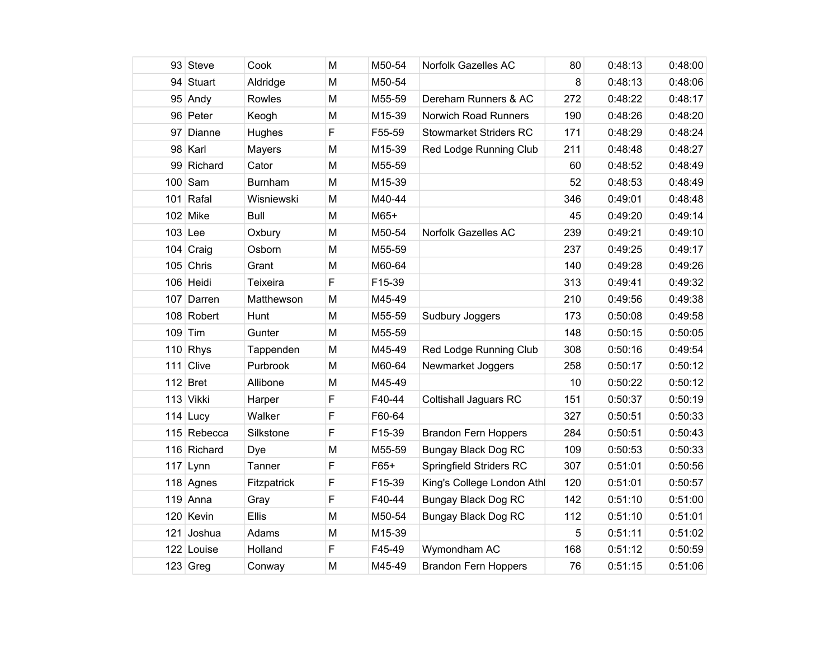|     | 93 Steve    | Cook        | M | M50-54 | <b>Norfolk Gazelles AC</b>    | 80  | 0:48:13 | 0:48:00 |
|-----|-------------|-------------|---|--------|-------------------------------|-----|---------|---------|
|     | 94 Stuart   | Aldridge    | M | M50-54 |                               | 8   | 0:48:13 | 0:48:06 |
|     | 95 Andy     | Rowles      | M | M55-59 | Dereham Runners & AC          | 272 | 0:48:22 | 0:48:17 |
|     | 96 Peter    | Keogh       | M | M15-39 | Norwich Road Runners          | 190 | 0:48:26 | 0:48:20 |
|     | 97 Dianne   | Hughes      | F | F55-59 | <b>Stowmarket Striders RC</b> | 171 | 0:48:29 | 0:48:24 |
|     | 98 Karl     | Mayers      | M | M15-39 | Red Lodge Running Club        | 211 | 0:48:48 | 0:48:27 |
|     | 99 Richard  | Cator       | M | M55-59 |                               | 60  | 0:48:52 | 0:48:49 |
|     | $100$ Sam   | Burnham     | M | M15-39 |                               | 52  | 0:48:53 | 0:48:49 |
| 101 | Rafal       | Wisniewski  | M | M40-44 |                               | 346 | 0:49:01 | 0:48:48 |
|     | 102 Mike    | <b>Bull</b> | M | $M65+$ |                               | 45  | 0:49:20 | 0:49:14 |
|     | $103$ Lee   | Oxbury      | M | M50-54 | Norfolk Gazelles AC           | 239 | 0:49:21 | 0:49:10 |
|     | 104 $Craiq$ | Osborn      | M | M55-59 |                               | 237 | 0:49:25 | 0:49:17 |
|     | $105$ Chris | Grant       | M | M60-64 |                               | 140 | 0:49:28 | 0:49:26 |
|     | 106 Heidi   | Teixeira    | F | F15-39 |                               | 313 | 0:49:41 | 0:49:32 |
|     | 107 Darren  | Matthewson  | M | M45-49 |                               | 210 | 0:49:56 | 0:49:38 |
|     | 108 Robert  | Hunt        | M | M55-59 | Sudbury Joggers               | 173 | 0:50:08 | 0:49:58 |
|     | $109$ Tim   | Gunter      | M | M55-59 |                               | 148 | 0:50:15 | 0:50:05 |
|     | $110$ Rhys  | Tappenden   | M | M45-49 | Red Lodge Running Club        | 308 | 0:50:16 | 0:49:54 |
|     | 111 Clive   | Purbrook    | M | M60-64 | Newmarket Joggers             | 258 | 0:50:17 | 0:50:12 |
|     | $112$ Bret  | Allibone    | M | M45-49 |                               | 10  | 0:50:22 | 0:50:12 |
|     | 113 Vikki   | Harper      | F | F40-44 | <b>Coltishall Jaguars RC</b>  | 151 | 0:50:37 | 0:50:19 |
|     | $114$ Lucy  | Walker      | F | F60-64 |                               | 327 | 0:50:51 | 0:50:33 |
|     | 115 Rebecca | Silkstone   | F | F15-39 | <b>Brandon Fern Hoppers</b>   | 284 | 0:50:51 | 0:50:43 |
|     | 116 Richard | Dye         | M | M55-59 | <b>Bungay Black Dog RC</b>    | 109 | 0:50:53 | 0:50:33 |
|     | $117$ Lynn  | Tanner      | F | $F65+$ | Springfield Striders RC       | 307 | 0:51:01 | 0:50:56 |
|     | 118 Agnes   | Fitzpatrick | F | F15-39 | King's College London Athl    | 120 | 0:51:01 | 0:50:57 |
|     | $119$ Anna  | Gray        | F | F40-44 | Bungay Black Dog RC           | 142 | 0:51:10 | 0:51:00 |
|     | 120 Kevin   | Ellis       | M | M50-54 | Bungay Black Dog RC           | 112 | 0:51:10 | 0:51:01 |
|     | 121 Joshua  | Adams       | M | M15-39 |                               | 5   | 0:51:11 | 0:51:02 |
|     | 122 Louise  | Holland     | F | F45-49 | Wymondham AC                  | 168 | 0:51:12 | 0:50:59 |
|     | $123$ Greg  | Conway      | M | M45-49 | <b>Brandon Fern Hoppers</b>   | 76  | 0:51:15 | 0:51:06 |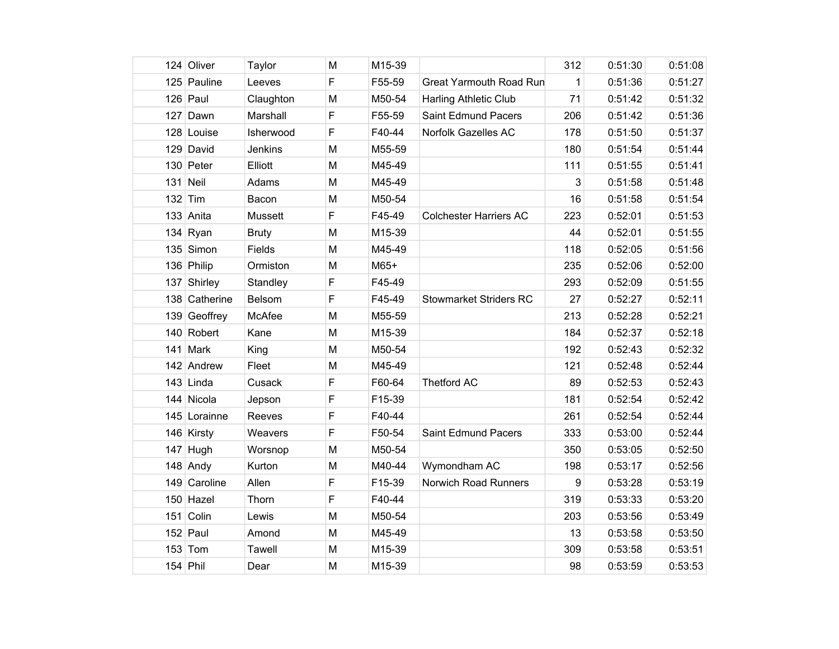| 124 Oliver    | Taylor       | M | M15-39 |                                | 312 | 0:51:30 | 0:51:08 |
|---------------|--------------|---|--------|--------------------------------|-----|---------|---------|
| 125 Pauline   | Leeves       | F | F55-59 | <b>Great Yarmouth Road Run</b> | 1   | 0:51:36 | 0:51:27 |
| $126$ Paul    | Claughton    | M | M50-54 | <b>Harling Athletic Club</b>   | 71  | 0:51:42 | 0:51:32 |
| $127$ Dawn    | Marshall     | F | F55-59 | Saint Edmund Pacers            | 206 | 0:51:42 | 0:51:36 |
| 128 Louise    | Isherwood    | F | F40-44 | Norfolk Gazelles AC            | 178 | 0:51:50 | 0:51:37 |
| 129 David     | Jenkins      | M | M55-59 |                                | 180 | 0:51:54 | 0:51:44 |
| 130 Peter     | Elliott      | M | M45-49 |                                | 111 | 0:51:55 | 0:51:41 |
| 131 Neil      | Adams        | M | M45-49 |                                | 3   | 0:51:58 | 0:51:48 |
| $132$ Tim     | Bacon        | M | M50-54 |                                | 16  | 0:51:58 | 0:51:54 |
| 133 Anita     | Mussett      | F | F45-49 | <b>Colchester Harriers AC</b>  | 223 | 0:52:01 | 0:51:53 |
| 134 Ryan      | <b>Bruty</b> | M | M15-39 |                                | 44  | 0:52:01 | 0:51:55 |
| 135 Simon     | Fields       | M | M45-49 |                                | 118 | 0:52:05 | 0:51:56 |
| 136 Philip    | Ormiston     | M | $M65+$ |                                | 235 | 0:52:06 | 0:52:00 |
| 137 Shirley   | Standley     | F | F45-49 |                                | 293 | 0:52:09 | 0:51:55 |
| 138 Catherine | Belsom       | F | F45-49 | <b>Stowmarket Striders RC</b>  | 27  | 0:52:27 | 0:52:11 |
| 139 Geoffrey  | McAfee       | M | M55-59 |                                | 213 | 0:52:28 | 0:52:21 |
| 140 Robert    | Kane         | M | M15-39 |                                | 184 | 0:52:37 | 0:52:18 |
| 141 Mark      | King         | M | M50-54 |                                | 192 | 0:52:43 | 0:52:32 |
| 142 Andrew    | Fleet        | M | M45-49 |                                | 121 | 0:52:48 | 0:52:44 |
| $143$ Linda   | Cusack       | F | F60-64 | <b>Thetford AC</b>             | 89  | 0:52:53 | 0:52:43 |
| 144 Nicola    | Jepson       | F | F15-39 |                                | 181 | 0:52:54 | 0:52:42 |
| 145 Lorainne  | Reeves       | F | F40-44 |                                | 261 | 0:52:54 | 0:52:44 |
| 146 Kirsty    | Weavers      | F | F50-54 | Saint Edmund Pacers            | 333 | 0:53:00 | 0:52:44 |
| $147$ Hugh    | Worsnop      | M | M50-54 |                                | 350 | 0:53:05 | 0:52:50 |
| 148 Andy      | Kurton       | M | M40-44 | Wymondham AC                   | 198 | 0:53:17 | 0:52:56 |
| 149 Caroline  | Allen        | F | F15-39 | <b>Norwich Road Runners</b>    | 9   | 0:53:28 | 0:53:19 |
| 150 Hazel     | Thorn        | F | F40-44 |                                | 319 | 0:53:33 | 0:53:20 |
| 151 Colin     | Lewis        | M | M50-54 |                                | 203 | 0:53:56 | 0:53:49 |
| $152$ Paul    | Amond        | M | M45-49 |                                | 13  | 0:53:58 | 0:53:50 |
| $153$ Tom     | Tawell       | M | M15-39 |                                | 309 | 0:53:58 | 0:53:51 |
| $154$ Phil    | Dear         | M | M15-39 |                                | 98  | 0:53:59 | 0:53:53 |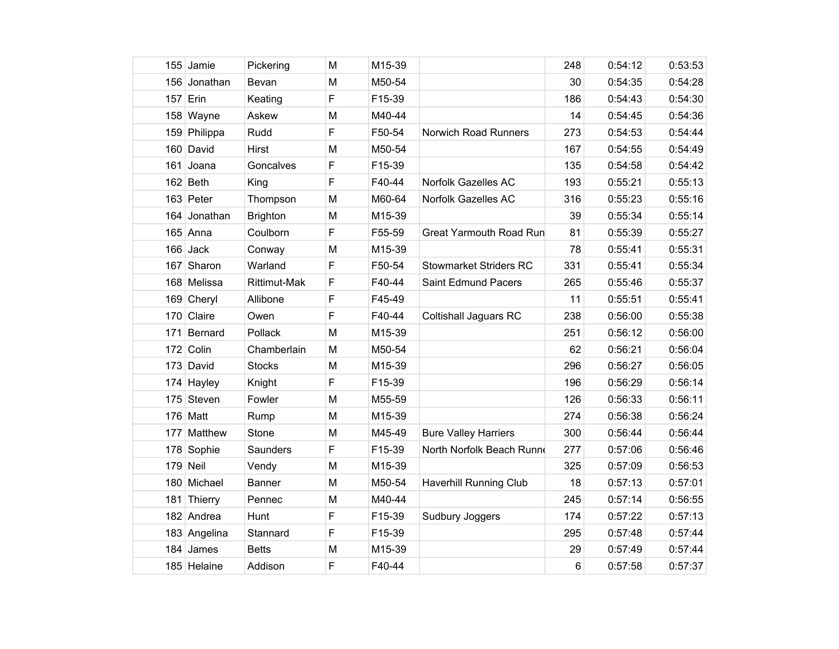|     | 155 Jamie    | Pickering       | M | M15-39 |                                | 248 | 0:54:12 | 0:53:53 |
|-----|--------------|-----------------|---|--------|--------------------------------|-----|---------|---------|
|     | 156 Jonathan | Bevan           | M | M50-54 |                                | 30  | 0:54:35 | 0:54:28 |
|     | 157 Erin     | Keating         | F | F15-39 |                                | 186 | 0:54:43 | 0:54:30 |
|     | 158 Wayne    | Askew           | M | M40-44 |                                | 14  | 0:54:45 | 0:54:36 |
|     | 159 Philippa | Rudd            | F | F50-54 | Norwich Road Runners           | 273 | 0:54:53 | 0:54:44 |
|     | 160 David    | <b>Hirst</b>    | M | M50-54 |                                | 167 | 0:54:55 | 0:54:49 |
|     | 161 Joana    | Goncalves       | F | F15-39 |                                | 135 | 0:54:58 | 0:54:42 |
|     | $162$ Beth   | King            | F | F40-44 | Norfolk Gazelles AC            | 193 | 0:55:21 | 0:55:13 |
|     | 163 Peter    | Thompson        | M | M60-64 | Norfolk Gazelles AC            | 316 | 0:55:23 | 0:55:16 |
|     | 164 Jonathan | <b>Brighton</b> | M | M15-39 |                                | 39  | 0:55:34 | 0:55:14 |
|     | $165$ Anna   | Coulborn        | F | F55-59 | <b>Great Yarmouth Road Run</b> | 81  | 0:55:39 | 0:55:27 |
|     | $166$ Jack   | Conway          | M | M15-39 |                                | 78  | 0:55:41 | 0:55:31 |
|     | 167 Sharon   | Warland         | F | F50-54 | <b>Stowmarket Striders RC</b>  | 331 | 0:55:41 | 0:55:34 |
|     | 168 Melissa  | Rittimut-Mak    | F | F40-44 | Saint Edmund Pacers            | 265 | 0:55:46 | 0:55:37 |
|     | 169 Cheryl   | Allibone        | F | F45-49 |                                | 11  | 0:55:51 | 0:55:41 |
|     | 170 Claire   | Owen            | F | F40-44 | <b>Coltishall Jaguars RC</b>   | 238 | 0:56:00 | 0:55:38 |
| 171 | Bernard      | Pollack         | M | M15-39 |                                | 251 | 0:56:12 | 0:56:00 |
|     | 172 Colin    | Chamberlain     | M | M50-54 |                                | 62  | 0:56:21 | 0:56:04 |
|     | 173 David    | <b>Stocks</b>   | M | M15-39 |                                | 296 | 0:56:27 | 0:56:05 |
|     | 174 Hayley   | Knight          | F | F15-39 |                                | 196 | 0:56:29 | 0:56:14 |
|     | 175 Steven   | Fowler          | M | M55-59 |                                | 126 | 0:56:33 | 0:56:11 |
|     | 176 Matt     | Rump            | M | M15-39 |                                | 274 | 0:56:38 | 0:56:24 |
|     | 177 Matthew  | Stone           | M | M45-49 | <b>Bure Valley Harriers</b>    | 300 | 0:56:44 | 0:56:44 |
|     | 178 Sophie   | Saunders        | F | F15-39 | North Norfolk Beach Runn       | 277 | 0:57:06 | 0:56:46 |
|     | 179 Neil     | Vendy           | M | M15-39 |                                | 325 | 0:57:09 | 0:56:53 |
|     | 180 Michael  | <b>Banner</b>   | M | M50-54 | <b>Haverhill Running Club</b>  | 18  | 0:57:13 | 0:57:01 |
|     | 181 Thierry  | Pennec          | M | M40-44 |                                | 245 | 0:57:14 | 0:56:55 |
|     | 182 Andrea   | Hunt            | F | F15-39 | Sudbury Joggers                | 174 | 0:57:22 | 0:57:13 |
|     | 183 Angelina | Stannard        | F | F15-39 |                                | 295 | 0:57:48 | 0:57:44 |
|     | 184 James    | <b>Betts</b>    | M | M15-39 |                                | 29  | 0:57:49 | 0:57:44 |
|     | 185 Helaine  | Addison         | F | F40-44 |                                | 6   | 0:57:58 | 0:57:37 |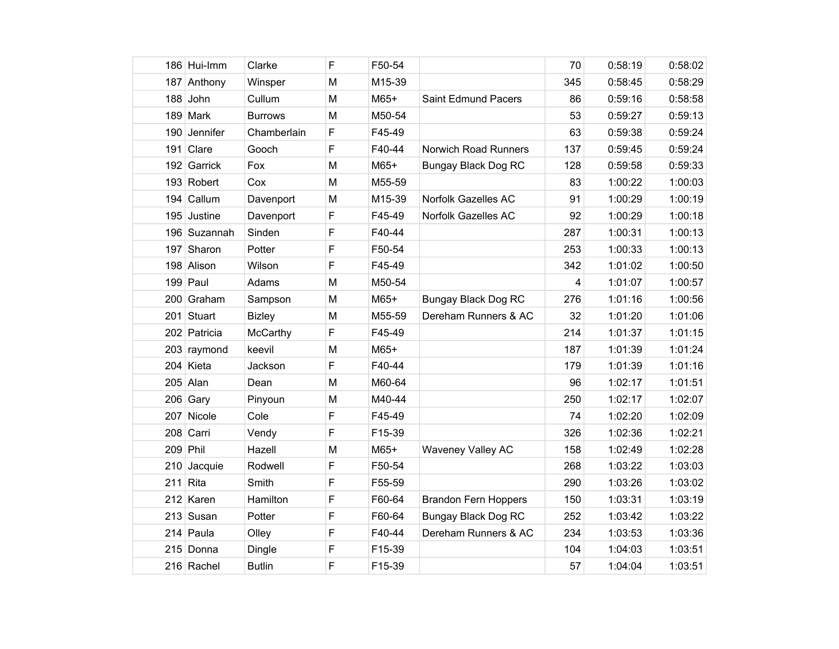|     | 186 Hui-Imm  | Clarke         | F | F50-54 |                             | 70  | 0:58:19 | 0:58:02 |
|-----|--------------|----------------|---|--------|-----------------------------|-----|---------|---------|
|     | 187 Anthony  | Winsper        | M | M15-39 |                             | 345 | 0:58:45 | 0:58:29 |
|     | 188 John     | Cullum         | M | M65+   | Saint Edmund Pacers         | 86  | 0:59:16 | 0:58:58 |
|     | 189 Mark     | <b>Burrows</b> | M | M50-54 |                             | 53  | 0:59:27 | 0:59:13 |
|     | 190 Jennifer | Chamberlain    | F | F45-49 |                             | 63  | 0:59:38 | 0:59:24 |
|     | 191 Clare    | Gooch          | F | F40-44 | <b>Norwich Road Runners</b> | 137 | 0:59:45 | 0:59:24 |
|     | 192 Garrick  | Fox            | M | $M65+$ | <b>Bungay Black Dog RC</b>  | 128 | 0:59:58 | 0:59:33 |
|     | 193 Robert   | Cox            | M | M55-59 |                             | 83  | 1:00:22 | 1:00:03 |
| 194 | Callum       | Davenport      | M | M15-39 | Norfolk Gazelles AC         | 91  | 1:00:29 | 1:00:19 |
|     | 195 Justine  | Davenport      | F | F45-49 | Norfolk Gazelles AC         | 92  | 1:00:29 | 1:00:18 |
|     | 196 Suzannah | Sinden         | F | F40-44 |                             | 287 | 1:00:31 | 1:00:13 |
|     | 197 Sharon   | Potter         | F | F50-54 |                             | 253 | 1:00:33 | 1:00:13 |
|     | 198 Alison   | Wilson         | F | F45-49 |                             | 342 | 1:01:02 | 1:00:50 |
|     | $199$ Paul   | Adams          | M | M50-54 |                             | 4   | 1:01:07 | 1:00:57 |
|     | 200 Graham   | Sampson        | M | $M65+$ | Bungay Black Dog RC         | 276 | 1:01:16 | 1:00:56 |
|     | 201 Stuart   | <b>Bizley</b>  | M | M55-59 | Dereham Runners & AC        | 32  | 1:01:20 | 1:01:06 |
|     | 202 Patricia | McCarthy       | F | F45-49 |                             | 214 | 1:01:37 | 1:01:15 |
|     | 203 raymond  | keevil         | M | $M65+$ |                             | 187 | 1:01:39 | 1:01:24 |
|     | 204 Kieta    | Jackson        | F | F40-44 |                             | 179 | 1:01:39 | 1:01:16 |
|     | $205$ Alan   | Dean           | M | M60-64 |                             | 96  | 1:02:17 | 1:01:51 |
|     | $206$ Gary   | Pinyoun        | M | M40-44 |                             | 250 | 1:02:17 | 1:02:07 |
|     | 207 Nicole   | Cole           | F | F45-49 |                             | 74  | 1:02:20 | 1:02:09 |
|     | 208 Carri    | Vendy          | F | F15-39 |                             | 326 | 1:02:36 | 1:02:21 |
|     | 209 Phil     | Hazell         | M | $M65+$ | <b>Waveney Valley AC</b>    | 158 | 1:02:49 | 1:02:28 |
|     | 210 Jacquie  | Rodwell        | F | F50-54 |                             | 268 | 1:03:22 | 1:03:03 |
| 211 | Rita         | Smith          | F | F55-59 |                             | 290 | 1:03:26 | 1:03:02 |
|     | 212 Karen    | Hamilton       | F | F60-64 | <b>Brandon Fern Hoppers</b> | 150 | 1:03:31 | 1:03:19 |
|     | 213 Susan    | Potter         | F | F60-64 | <b>Bungay Black Dog RC</b>  | 252 | 1:03:42 | 1:03:22 |
|     | 214 Paula    | Olley          | F | F40-44 | Dereham Runners & AC        | 234 | 1:03:53 | 1:03:36 |
|     | 215 Donna    | Dingle         | F | F15-39 |                             | 104 | 1:04:03 | 1:03:51 |
|     | 216 Rachel   | <b>Butlin</b>  | F | F15-39 |                             | 57  | 1:04:04 | 1:03:51 |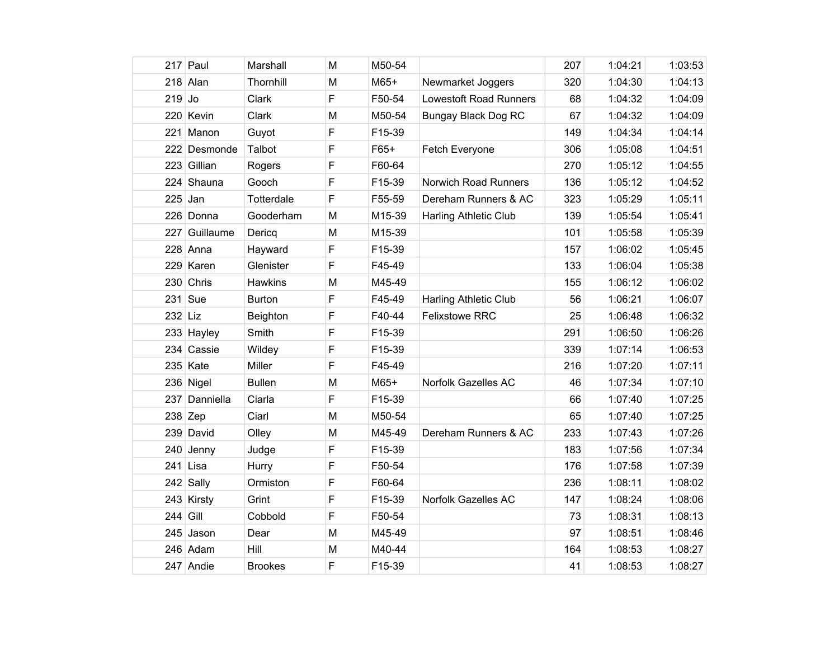|          | 217 Paul      | Marshall       | M | M50-54 |                               | 207 | 1:04:21 | 1:03:53 |
|----------|---------------|----------------|---|--------|-------------------------------|-----|---------|---------|
|          | $218$ Alan    | Thornhill      | M | $M65+$ | Newmarket Joggers             | 320 | 1:04:30 | 1:04:13 |
| $219$ Jo |               | Clark          | F | F50-54 | <b>Lowestoft Road Runners</b> | 68  | 1:04:32 | 1:04:09 |
|          | 220 Kevin     | Clark          | M | M50-54 | <b>Bungay Black Dog RC</b>    | 67  | 1:04:32 | 1:04:09 |
|          | 221 Manon     | Guyot          | F | F15-39 |                               | 149 | 1:04:34 | 1:04:14 |
|          | 222 Desmonde  | Talbot         | F | $F65+$ | Fetch Everyone                | 306 | 1:05:08 | 1:04:51 |
|          | 223 Gillian   | Rogers         | F | F60-64 |                               | 270 | 1:05:12 | 1:04:55 |
|          | 224 Shauna    | Gooch          | F | F15-39 | Norwich Road Runners          | 136 | 1:05:12 | 1:04:52 |
| 225      | Jan           | Totterdale     | F | F55-59 | Dereham Runners & AC          | 323 | 1:05:29 | 1:05:11 |
|          | 226 Donna     | Gooderham      | M | M15-39 | <b>Harling Athletic Club</b>  | 139 | 1:05:54 | 1:05:41 |
|          | 227 Guillaume | Dericq         | M | M15-39 |                               | 101 | 1:05:58 | 1:05:39 |
|          | $228$ Anna    | Hayward        | F | F15-39 |                               | 157 | 1:06:02 | 1:05:45 |
|          | 229 Karen     | Glenister      | F | F45-49 |                               | 133 | 1:06:04 | 1:05:38 |
|          | 230 Chris     | <b>Hawkins</b> | M | M45-49 |                               | 155 | 1:06:12 | 1:06:02 |
| 231      | Sue           | <b>Burton</b>  | F | F45-49 | <b>Harling Athletic Club</b>  | 56  | 1:06:21 | 1:06:07 |
| 232 Liz  |               | Beighton       | F | F40-44 | <b>Felixstowe RRC</b>         | 25  | 1:06:48 | 1:06:32 |
|          | 233 Hayley    | Smith          | F | F15-39 |                               | 291 | 1:06:50 | 1:06:26 |
|          | 234 Cassie    | Wildey         | F | F15-39 |                               | 339 | 1:07:14 | 1:06:53 |
|          | $235$ Kate    | Miller         | F | F45-49 |                               | 216 | 1:07:20 | 1:07:11 |
|          | 236 Nigel     | <b>Bullen</b>  | M | M65+   | Norfolk Gazelles AC           | 46  | 1:07:34 | 1:07:10 |
| 237      | Danniella     | Ciarla         | F | F15-39 |                               | 66  | 1:07:40 | 1:07:25 |
|          | $238$ Zep     | Ciarl          | M | M50-54 |                               | 65  | 1:07:40 | 1:07:25 |
|          | 239 David     | Olley          | M | M45-49 | Dereham Runners & AC          | 233 | 1:07:43 | 1:07:26 |
|          | 240 Jenny     | Judge          | F | F15-39 |                               | 183 | 1:07:56 | 1:07:34 |
|          | $241$ Lisa    | Hurry          | F | F50-54 |                               | 176 | 1:07:58 | 1:07:39 |
|          | 242 Sally     | Ormiston       | F | F60-64 |                               | 236 | 1:08:11 | 1:08:02 |
|          | 243 Kirsty    | Grint          | F | F15-39 | Norfolk Gazelles AC           | 147 | 1:08:24 | 1:08:06 |
| 244      | Gill          | Cobbold        | F | F50-54 |                               | 73  | 1:08:31 | 1:08:13 |
|          | 245 Jason     | Dear           | M | M45-49 |                               | 97  | 1:08:51 | 1:08:46 |
|          | 246 Adam      | Hill           | M | M40-44 |                               | 164 | 1:08:53 | 1:08:27 |
|          | 247 Andie     | <b>Brookes</b> | F | F15-39 |                               | 41  | 1:08:53 | 1:08:27 |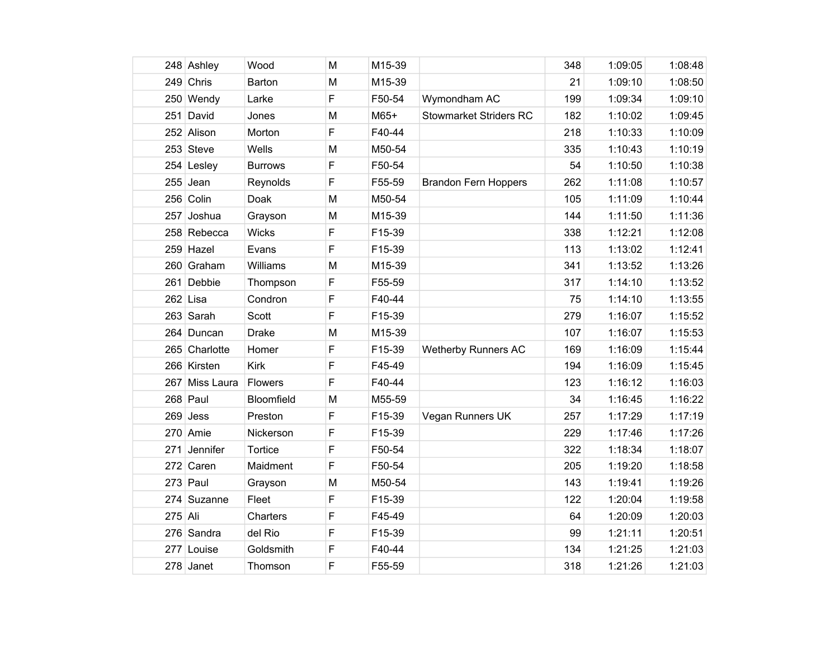|         | 248 Ashley    | Wood           | M | M15-39 |                               | 348 | 1:09:05 | 1:08:48 |
|---------|---------------|----------------|---|--------|-------------------------------|-----|---------|---------|
|         | 249 Chris     | Barton         | M | M15-39 |                               | 21  | 1:09:10 | 1:08:50 |
|         |               |                |   | F50-54 |                               | 199 | 1:09:34 | 1:09:10 |
|         | 250 Wendy     | Larke          | F |        | Wymondham AC                  |     |         |         |
| 251     | David         | Jones          | M | $M65+$ | <b>Stowmarket Striders RC</b> | 182 | 1:10:02 | 1:09:45 |
|         | 252 Alison    | Morton         | F | F40-44 |                               | 218 | 1:10:33 | 1:10:09 |
|         | 253 Steve     | Wells          | M | M50-54 |                               | 335 | 1:10:43 | 1:10:19 |
|         | 254 Lesley    | <b>Burrows</b> | F | F50-54 |                               | 54  | 1:10:50 | 1:10:38 |
|         | $255$ Jean    | Reynolds       | F | F55-59 | <b>Brandon Fern Hoppers</b>   | 262 | 1:11:08 | 1:10:57 |
|         | 256 Colin     | Doak           | M | M50-54 |                               | 105 | 1:11:09 | 1:10:44 |
|         | 257 Joshua    | Grayson        | M | M15-39 |                               | 144 | 1:11:50 | 1:11:36 |
|         | 258 Rebecca   | <b>Wicks</b>   | F | F15-39 |                               | 338 | 1:12:21 | 1:12:08 |
|         | 259 Hazel     | Evans          | F | F15-39 |                               | 113 | 1:13:02 | 1:12:41 |
|         | 260 Graham    | Williams       | M | M15-39 |                               | 341 | 1:13:52 | 1:13:26 |
| 261     | Debbie        | Thompson       | F | F55-59 |                               | 317 | 1:14:10 | 1:13:52 |
|         | $262$ Lisa    | Condron        | F | F40-44 |                               | 75  | 1:14:10 | 1:13:55 |
|         | 263 Sarah     | Scott          | F | F15-39 |                               | 279 | 1:16:07 | 1:15:52 |
|         | 264 Duncan    | <b>Drake</b>   | M | M15-39 |                               | 107 | 1:16:07 | 1:15:53 |
|         | 265 Charlotte | Homer          | F | F15-39 | <b>Wetherby Runners AC</b>    | 169 | 1:16:09 | 1:15:44 |
|         | 266 Kirsten   | <b>Kirk</b>    | F | F45-49 |                               | 194 | 1:16:09 | 1:15:45 |
| 267     | Miss Laura    | Flowers        | F | F40-44 |                               | 123 | 1:16:12 | 1:16:03 |
|         | $268$ Paul    | Bloomfield     | M | M55-59 |                               | 34  | 1:16:45 | 1:16:22 |
|         | $269$ Jess    | Preston        | F | F15-39 | Vegan Runners UK              | 257 | 1:17:29 | 1:17:19 |
|         | 270 Amie      | Nickerson      | F | F15-39 |                               | 229 | 1:17:46 | 1:17:26 |
| 271     | Jennifer      | Tortice        | F | F50-54 |                               | 322 | 1:18:34 | 1:18:07 |
|         | 272 Caren     | Maidment       | F | F50-54 |                               | 205 | 1:19:20 | 1:18:58 |
|         | $273$ Paul    | Grayson        | M | M50-54 |                               | 143 | 1:19:41 | 1:19:26 |
|         | 274 Suzanne   | Fleet          | F | F15-39 |                               | 122 | 1:20:04 | 1:19:58 |
| 275 Ali |               | Charters       | F | F45-49 |                               | 64  | 1:20:09 | 1:20:03 |
|         | 276 Sandra    | del Rio        | F | F15-39 |                               | 99  | 1:21:11 | 1:20:51 |
|         | 277 Louise    | Goldsmith      | F | F40-44 |                               | 134 | 1:21:25 | 1:21:03 |
|         | 278 Janet     | Thomson        | F | F55-59 |                               | 318 | 1:21:26 | 1:21:03 |
|         |               |                |   |        |                               |     |         |         |